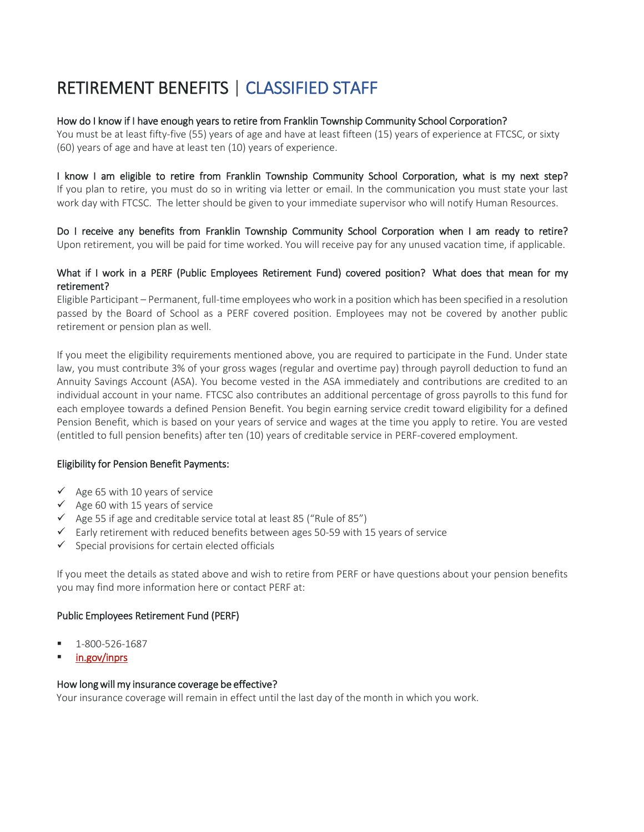# RETIREMENT BENEFITS | CLASSIFIED STAFF

## How do I know if I have enough years to retire from Franklin Township Community School Corporation?

You must be at least fifty-five (55) years of age and have at least fifteen (15) years of experience at FTCSC, or sixty (60) years of age and have at least ten (10) years of experience.

I know I am eligible to retire from Franklin Township Community School Corporation, what is my next step? If you plan to retire, you must do so in writing via letter or email. In the communication you must state your last work day with FTCSC. The letter should be given to your immediate supervisor who will notify Human Resources.

Do I receive any benefits from Franklin Township Community School Corporation when I am ready to retire? Upon retirement, you will be paid for time worked. You will receive pay for any unused vacation time, if applicable.

# What if I work in a PERF (Public Employees Retirement Fund) covered position? What does that mean for my retirement?

Eligible Participant – Permanent, full-time employees who work in a position which has been specified in a resolution passed by the Board of School as a PERF covered position. Employees may not be covered by another public retirement or pension plan as well.

If you meet the eligibility requirements mentioned above, you are required to participate in the Fund. Under state law, you must contribute 3% of your gross wages (regular and overtime pay) through payroll deduction to fund an Annuity Savings Account (ASA). You become vested in the ASA immediately and contributions are credited to an individual account in your name. FTCSC also contributes an additional percentage of gross payrolls to this fund for each employee towards a defined Pension Benefit. You begin earning service credit toward eligibility for a defined Pension Benefit, which is based on your years of service and wages at the time you apply to retire. You are vested (entitled to full pension benefits) after ten (10) years of creditable service in PERF-covered employment.

## Eligibility for Pension Benefit Payments:

- $\checkmark$  Age 65 with 10 years of service
- $\checkmark$  Age 60 with 15 years of service
- $\checkmark$  Age 55 if age and creditable service total at least 85 ("Rule of 85")
- $\checkmark$  Early retirement with reduced benefits between ages 50-59 with 15 years of service
- $\checkmark$  Special provisions for certain elected officials

If you meet the details as stated above and wish to retire from PERF or have questions about your pension benefits you may find more information here or contact PERF at:

## Public Employees Retirement Fund (PERF)

- 1-800-526-1687
- in.gov/inprs

#### How long will my insurance coverage be effective?

Your insurance coverage will remain in effect until the last day of the month in which you work.